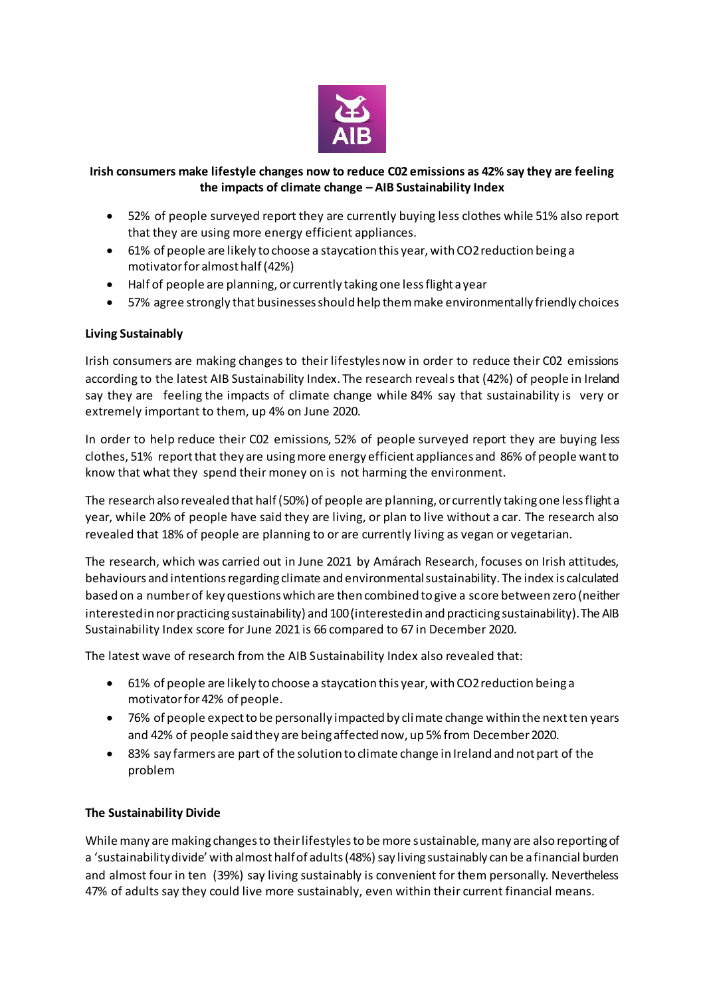

### **Irish consumers make lifestyle changes now to reduce C02 emissions as 42% say they are feeling the impacts of climate change – AIB Sustainability Index**

- 52% of people surveyed report they are currently buying less clothes while 51% also report that they are using more energy efficient appliances.
- 61% of people are likely to choose a staycation this year, with CO2 reduction being a motivator for almost half (42%)
- Half of people are planning, or currently taking one less flight a year
- 57% agree strongly that businesses should help them make environmentally friendly choices

#### **Living Sustainably**

Irish consumers are making changes to their lifestyles now in order to reduce their C02 emissions according to the latest AIB Sustainability Index. The research reveals that (42%) of people in Ireland say they are feeling the impacts of climate change while 84% say that sustainability is very or extremely important to them, up 4% on June 2020.

In order to help reduce their C02 emissions, 52% of people surveyed report they are buying less clothes, 51% report that they are using more energy efficient appliances and 86% of people want to know that what they spend their money on is not harming the environment.

The research also revealed that half (50%) of people are planning, or currently taking one less flight a year, while 20% of people have said they are living, or plan to live without a car. The research also revealed that 18% of people are planning to or are currently living as vegan or vegetarian.

The research, which was carried out in June 2021 by Amárach Research, focuses on Irish attitudes, behaviours and intentions regarding climate and environmental sustainability. The index is calculated based on a number of key questions which are then combined to give a score between zero (neither interested in nor practicing sustainability) and 100 (interested in and practicing sustainability). The AIB Sustainability Index score for June 2021 is 66 compared to 67 in December 2020.

The latest wave of research from the AIB Sustainability Index also revealed that:

- 61% of people are likely to choose a staycation this year, with CO2 reduction being a motivator for 42% of people.
- 76% of people expect to be personally impacted by climate change within the next ten years and 42% of people said they are being affected now, up 5% from December 2020.
- 83% say farmers are part of the solution to climate change in Ireland and not part of the problem

#### **The Sustainability Divide**

While many are making changes to their lifestyles to be more sustainable, many are also reporting of a 'sustainability divide' with almost half of adults (48%) say living sustainably can be a financial burden and almost four in ten (39%) say living sustainably is convenient for them personally. Nevertheless 47% of adults say they could live more sustainably, even within their current financial means.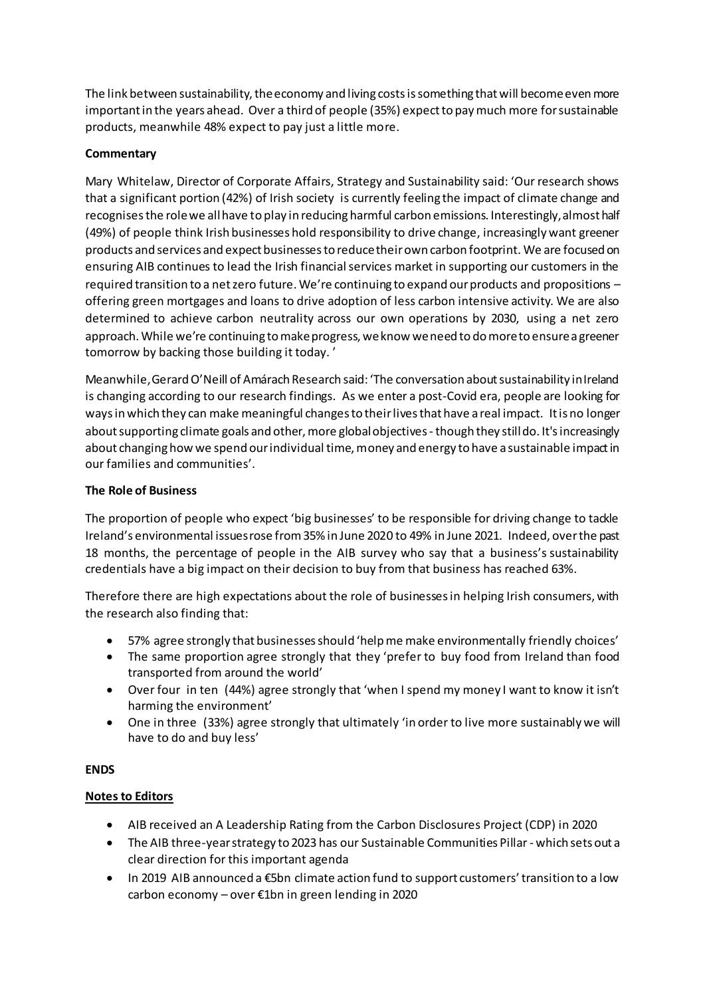The link between sustainability, the economy and living costs is something that will become even more important in the years ahead. Over a third of people (35%) expect to pay much more for sustainable products, meanwhile 48% expect to pay just a little more.

## **Commentary**

Mary Whitelaw, Director of Corporate Affairs, Strategy and Sustainability said: 'Our research shows that a significant portion (42%) of Irish society is currently feeling the impact of climate change and recognises the role we all have to play in reducing harmful carbon emissions. Interestingly, almost half (49%) of people think Irish businesses hold responsibility to drive change, increasingly want greener products and services and expect businesses to reduce their own carbon footprint. We are focused on ensuring AIB continues to lead the Irish financial services market in supporting our customers in the required transition to a net zero future. We're continuing to expand our products and propositions – offering green mortgages and loans to drive adoption of less carbon intensive activity. We are also determined to achieve carbon neutrality across our own operations by 2030, using a net zero approach. While we're continuing to make progress, we know we need to do more to ensure a greener tomorrow by backing those building it today. '

Meanwhile, Gerard O'Neill of Amárach Research said: 'The conversation about sustainability in Ireland is changing according to our research findings. As we enter a post-Covid era, people are looking for ways in which they can make meaningful changes to their lives that have a real impact. It is no longer about supporting climate goals and other, more global objectives - though they still do. It's increasingly about changing how we spend our individual time, money and energy to have a sustainable impact in our families and communities'.

#### **The Role of Business**

The proportion of people who expect 'big businesses' to be responsible for driving change to tackle Ireland's environmental issues rose from 35% in June 2020 to 49% in June 2021. Indeed, over the past 18 months, the percentage of people in the AIB survey who say that a business's sustainability credentials have a big impact on their decision to buy from that business has reached 63%.

Therefore there are high expectations about the role of businesses in helping Irish consumers, with the research also finding that:

- 57% agree strongly that businesses should 'help me make environmentally friendly choices'
- The same proportion agree strongly that they 'prefer to buy food from Ireland than food transported from around the world'
- Over four in ten (44%) agree strongly that 'when I spend my money I want to know it isn't harming the environment'
- One in three (33%) agree strongly that ultimately 'in order to live more sustainably we will have to do and buy less'

#### **ENDS**

# **Notes to Editors**

- AIB received an A Leadership Rating from the Carbon Disclosures Project (CDP) in 2020
- The AIB three-year strategy to 2023 has our Sustainable Communities Pillar which sets out a clear direction for this important agenda
- In 2019 AIB announced a €5bn climate action fund to support customers' transition to a low carbon economy – over €1bn in green lending in 2020